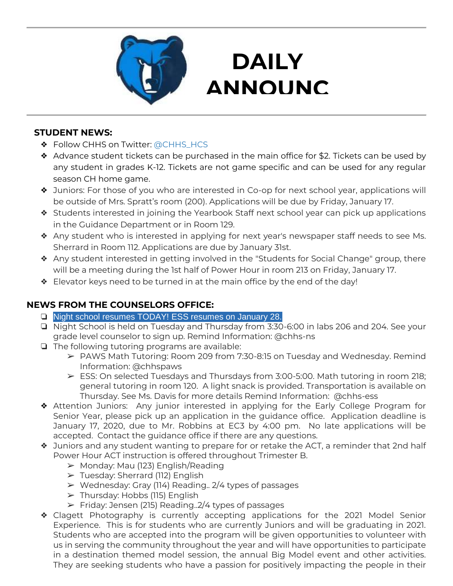

## **DAILY ANNOUNC**

**EMENTS** 

### **STUDENT NEWS:**

- ❖ Follow CHHS on Twitter: [@CHHS\\_HCS](https://twitter.com/CHHS_HCS)
- ❖ Advance student tickets can be purchased in the main office for \$2. Tickets can be used by any student in grades K-12. Tickets are not game specific and can be used for any regular season CH home game.
- ❖ Juniors: For those of you who are interested in Co-op for next school year, applications will be outside of Mrs. Spratt's room (200). Applications will be due by Friday, January 17.
- ❖ Students interested in joining the Yearbook Staff next school year can pick up applications in the Guidance Department or in Room 129.
- ❖ Any student who is interested in applying for next year's newspaper staff needs to see Ms. Sherrard in Room 112. Applications are due by January 31st.
- ❖ Any student interested in getting involved in the "Students for Social Change" group, there will be a meeting during the 1st half of Power Hour in room 213 on Friday, January 17.
- ❖ Elevator keys need to be turned in at the main office by the end of the day!

### **NEWS FROM THE COUNSELORS OFFICE:**

- ❏ Night school resumes TODAY! ESS resumes on January 28.
- ❏ Night School is held on Tuesday and Thursday from 3:30-6:00 in labs 206 and 204. See your grade level counselor to sign up. Remind Information: @chhs-ns
- ❏ The following tutoring programs are available:
	- ➢ PAWS Math Tutoring: Room 209 from 7:30-8:15 on Tuesday and Wednesday. Remind Information: @chhspaws
	- $\triangleright$  ESS: On selected Tuesdays and Thursdays from 3:00-5:00. Math tutoring in room 218; general tutoring in room 120. A light snack is provided. Transportation is available on Thursday. See Ms. Davis for more details Remind Information: @chhs-ess
- ❖ Attention Juniors: Any junior interested in applying for the Early College Program for Senior Year, please pick up an application in the guidance office. Application deadline is January 17, 2020, due to Mr. Robbins at EC3 by 4:00 pm. No late applications will be accepted. Contact the guidance office if there are any questions.
- ❖ Juniors and any student wanting to prepare for or retake the ACT, a reminder that 2nd half Power Hour ACT instruction is offered throughout Trimester B.
	- $\triangleright$  Monday: Mau (123) English/Reading
	- ➢ Tuesday: Sherrard (112) English
	- $\triangleright$  Wednesday: Gray (114) Reading.. 2/4 types of passages
	- $\triangleright$  Thursday: Hobbs (115) English
	- $\triangleright$  Friday: Jensen (215) Reading..2/4 types of passages
- ❖ Clagett Photography is currently accepting applications for the 2021 Model Senior Experience. This is for students who are currently Juniors and will be graduating in 2021. Students who are accepted into the program will be given opportunities to volunteer with us in serving the community throughout the year and will have opportunities to participate in a destination themed model session, the annual Big Model event and other activities. They are seeking students who have a passion for positively impacting the people in their